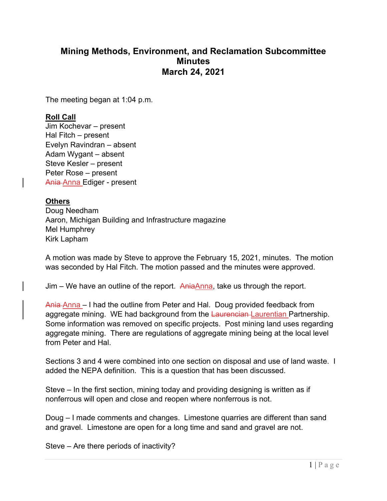## **Mining Methods, Environment, and Reclamation Subcommittee Minutes March 24, 2021**

The meeting began at 1:04 p.m.

## **Roll Call**

Jim Kochevar – present Hal Fitch – present Evelyn Ravindran – absent Adam Wygant – absent Steve Kesler – present Peter Rose – present Ania Anna Ediger - present

## **Others**

Doug Needham Aaron, Michigan Building and Infrastructure magazine Mel Humphrey Kirk Lapham

A motion was made by Steve to approve the February 15, 2021, minutes. The motion was seconded by Hal Fitch. The motion passed and the minutes were approved.

Jim – We have an outline of the report. AniaAnna, take us through the report.

Ania Anna – I had the outline from Peter and Hal. Doug provided feedback from aggregate mining. WE had background from the Laurencian Laurentian Partnership. Some information was removed on specific projects. Post mining land uses regarding aggregate mining. There are regulations of aggregate mining being at the local level from Peter and Hal.

Sections 3 and 4 were combined into one section on disposal and use of land waste. I added the NEPA definition. This is a question that has been discussed.

Steve – In the first section, mining today and providing designing is written as if nonferrous will open and close and reopen where nonferrous is not.

Doug – I made comments and changes. Limestone quarries are different than sand and gravel. Limestone are open for a long time and sand and gravel are not.

Steve – Are there periods of inactivity?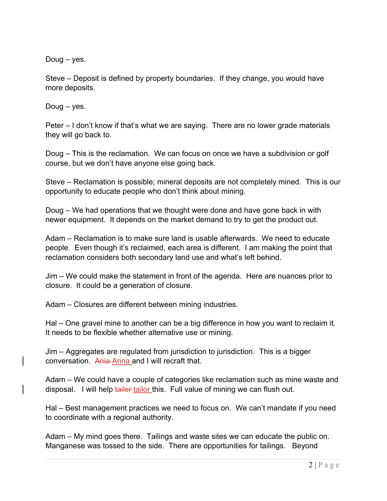Doug – yes.

Steve – Deposit is defined by property boundaries. If they change, you would have more deposits.

Doug – yes.

Peter – I don't know if that's what we are saying. There are no lower grade materials they will go back to.

Doug – This is the reclamation. We can focus on once we have a subdivision or golf course, but we don't have anyone else going back.

Steve – Reclamation is possible; mineral deposits are not completely mined. This is our opportunity to educate people who don't think about mining.

Doug – We had operations that we thought were done and have gone back in with newer equipment. It depends on the market demand to try to get the product out.

Adam – Reclamation is to make sure land is usable afterwards. We need to educate people. Even though it's reclaimed, each area is different. I am making the point that reclamation considers both secondary land use and what's left behind.

Jim – We could make the statement in front of the agenda. Here are nuances prior to closure. It could be a generation of closure.

Adam – Closures are different between mining industries.

Hal – One gravel mine to another can be a big difference in how you want to reclaim it. It needs to be flexible whether alternative use or mining.

Jim – Aggregates are regulated from jurisdiction to jurisdiction. This is a bigger conversation. Ania Anna and I will recraft that.

Adam – We could have a couple of categories like reclamation such as mine waste and disposal. I will help tailer tailor this. Full value of mining we can flush out.

Hal – Best management practices we need to focus on. We can't mandate if you need to coordinate with a regional authority.

Adam – My mind goes there. Tailings and waste sites we can educate the public on. Manganese was tossed to the side. There are opportunities for tailings. Beyond